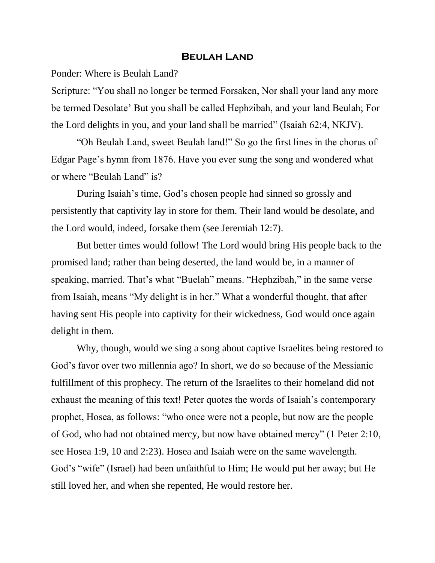## **Beulah Land**

Ponder: Where is Beulah Land?

Scripture: "You shall no longer be termed Forsaken, Nor shall your land any more be termed Desolate' But you shall be called Hephzibah, and your land Beulah; For the Lord delights in you, and your land shall be married" (Isaiah 62:4, NKJV).

"Oh Beulah Land, sweet Beulah land!" So go the first lines in the chorus of Edgar Page's hymn from 1876. Have you ever sung the song and wondered what or where "Beulah Land" is?

During Isaiah's time, God's chosen people had sinned so grossly and persistently that captivity lay in store for them. Their land would be desolate, and the Lord would, indeed, forsake them (see Jeremiah 12:7).

But better times would follow! The Lord would bring His people back to the promised land; rather than being deserted, the land would be, in a manner of speaking, married. That's what "Buelah" means. "Hephzibah," in the same verse from Isaiah, means "My delight is in her." What a wonderful thought, that after having sent His people into captivity for their wickedness, God would once again delight in them.

Why, though, would we sing a song about captive Israelites being restored to God's favor over two millennia ago? In short, we do so because of the Messianic fulfillment of this prophecy. The return of the Israelites to their homeland did not exhaust the meaning of this text! Peter quotes the words of Isaiah's contemporary prophet, Hosea, as follows: "who once were not a people, but now are the people of God, who had not obtained mercy, but now have obtained mercy" (1 Peter 2:10, see Hosea 1:9, 10 and 2:23). Hosea and Isaiah were on the same wavelength. God's "wife" (Israel) had been unfaithful to Him; He would put her away; but He still loved her, and when she repented, He would restore her.